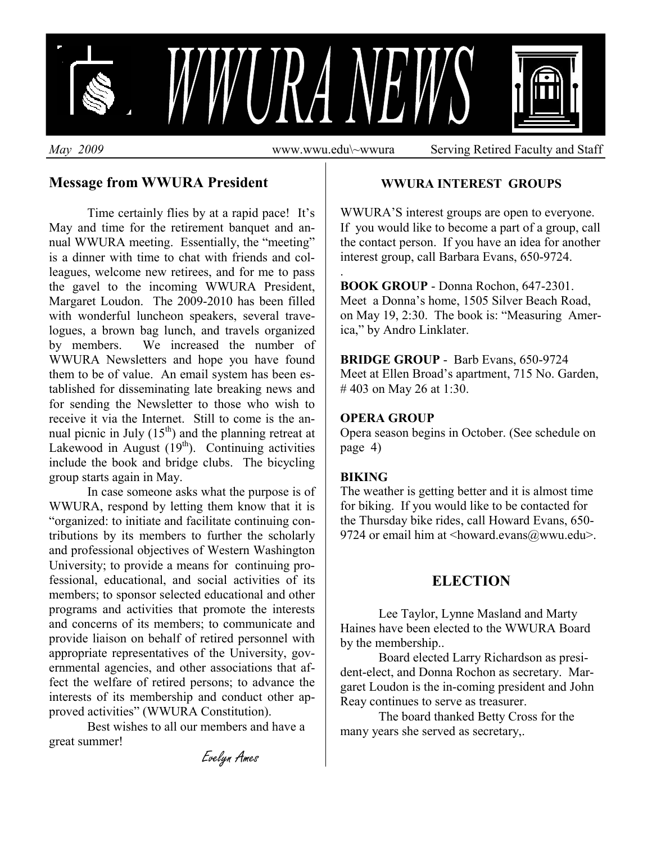

.

#### **Message from WWURA President**

Time certainly flies by at a rapid pace! It's May and time for the retirement banquet and annual WWURA meeting. Essentially, the "meeting" is a dinner with time to chat with friends and colleagues, welcome new retirees, and for me to pass the gavel to the incoming WWURA President, Margaret Loudon. The 2009-2010 has been filled with wonderful luncheon speakers, several travelogues, a brown bag lunch, and travels organized by members. We increased the number of WWURA Newsletters and hope you have found them to be of value. An email system has been established for disseminating late breaking news and for sending the Newsletter to those who wish to receive it via the Internet. Still to come is the annual picnic in July  $(15<sup>th</sup>)$  and the planning retreat at Lakewood in August  $(19<sup>th</sup>)$ . Continuing activities include the book and bridge clubs. The bicycling group starts again in May.

In case someone asks what the purpose is of WWURA, respond by letting them know that it is "organized: to initiate and facilitate continuing contributions by its members to further the scholarly and professional objectives of Western Washington University; to provide a means for continuing professional, educational, and social activities of its members; to sponsor selected educational and other programs and activities that promote the interests and concerns of its members; to communicate and provide liaison on behalf of retired personnel with appropriate representatives of the University, governmental agencies, and other associations that affect the welfare of retired persons; to advance the interests of its membership and conduct other approved activities" (WWURA Constitution).

Best wishes to all our members and have a great summer!

**WWURA INTEREST GROUPS** 

WWURA'S interest groups are open to everyone. If you would like to become a part of a group, call the contact person. If you have an idea for another interest group, call Barbara Evans, 650-9724.

**BOOK GROUP** - Donna Rochon, 647-2301. Meet a Donna's home, 1505 Silver Beach Road, on May 19, 2:30. The book is: "Measuring America," by Andro Linklater.

**BRIDGE GROUP** - Barb Evans, 650-9724 Meet at Ellen Broad's apartment, 715 No. Garden, # 403 on May 26 at 1:30.

#### **OPERA GROUP**

Opera season begins in October. (See schedule on page 4)

#### **BIKING**

The weather is getting better and it is almost time for biking. If you would like to be contacted for the Thursday bike rides, call Howard Evans, 650- 9724 or email him at  $\langle$ howard.evans $@$ wwu.edu $>$ .

#### **ELECTION**

 Lee Taylor, Lynne Masland and Marty Haines have been elected to the WWURA Board by the membership..

 Board elected Larry Richardson as president-elect, and Donna Rochon as secretary. Margaret Loudon is the in-coming president and John Reay continues to serve as treasurer.

 The board thanked Betty Cross for the many years she served as secretary,.

Evelyn Ames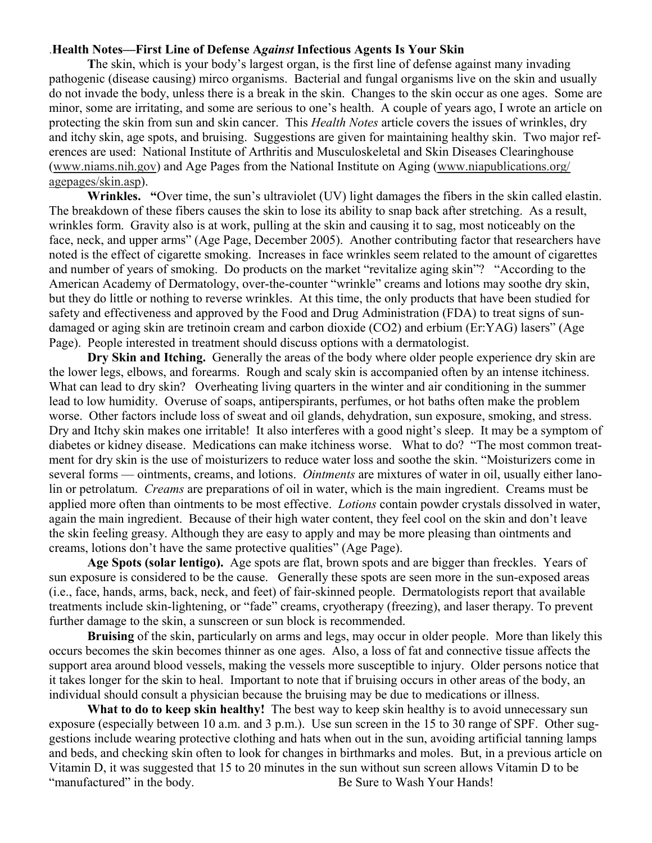#### .**Health Notes—First Line of Defense A***gainst* **Infectious Agents Is Your Skin**

 **T**he skin, which is your body's largest organ, is the first line of defense against many invading pathogenic (disease causing) mirco organisms. Bacterial and fungal organisms live on the skin and usually do not invade the body, unless there is a break in the skin. Changes to the skin occur as one ages. Some are minor, some are irritating, and some are serious to one's health. A couple of years ago, I wrote an article on protecting the skin from sun and skin cancer. This *Health Notes* article covers the issues of wrinkles, dry and itchy skin, age spots, and bruising. Suggestions are given for maintaining healthy skin. Two major references are used: National Institute of Arthritis and Musculoskeletal and Skin Diseases Clearinghouse (www.niams.nih.gov) and Age Pages from the National Institute on Aging (www.niapublications.org/ agepages/skin.asp).

 **Wrinkles. "**Over time, the sun's ultraviolet (UV) light damages the fibers in the skin called elastin. The breakdown of these fibers causes the skin to lose its ability to snap back after stretching. As a result, wrinkles form. Gravity also is at work, pulling at the skin and causing it to sag, most noticeably on the face, neck, and upper arms" (Age Page, December 2005). Another contributing factor that researchers have noted is the effect of cigarette smoking. Increases in face wrinkles seem related to the amount of cigarettes and number of years of smoking. Do products on the market "revitalize aging skin"? "According to the American Academy of Dermatology, over-the-counter "wrinkle" creams and lotions may soothe dry skin, but they do little or nothing to reverse wrinkles. At this time, the only products that have been studied for safety and effectiveness and approved by the Food and Drug Administration (FDA) to treat signs of sundamaged or aging skin are tretinoin cream and carbon dioxide (CO2) and erbium (Er:YAG) lasers" (Age Page). People interested in treatment should discuss options with a dermatologist.

 **Dry Skin and Itching.** Generally the areas of the body where older people experience dry skin are the lower legs, elbows, and forearms. Rough and scaly skin is accompanied often by an intense itchiness. What can lead to dry skin? Overheating living quarters in the winter and air conditioning in the summer lead to low humidity. Overuse of soaps, antiperspirants, perfumes, or hot baths often make the problem worse. Other factors include loss of sweat and oil glands, dehydration, sun exposure, smoking, and stress. Dry and Itchy skin makes one irritable! It also interferes with a good night's sleep. It may be a symptom of diabetes or kidney disease. Medications can make itchiness worse. What to do? "The most common treatment for dry skin is the use of moisturizers to reduce water loss and soothe the skin. "Moisturizers come in several forms — ointments, creams, and lotions. *Ointments* are mixtures of water in oil, usually either lanolin or petrolatum. *Creams* are preparations of oil in water, which is the main ingredient. Creams must be applied more often than ointments to be most effective. *Lotions* contain powder crystals dissolved in water, again the main ingredient. Because of their high water content, they feel cool on the skin and don't leave the skin feeling greasy. Although they are easy to apply and may be more pleasing than ointments and creams, lotions don't have the same protective qualities" (Age Page).

**Age Spots (solar lentigo).** Age spots are flat, brown spots and are bigger than freckles. Years of sun exposure is considered to be the cause. Generally these spots are seen more in the sun-exposed areas (i.e., face, hands, arms, back, neck, and feet) of fair-skinned people. Dermatologists report that available treatments include skin-lightening, or "fade" creams, cryotherapy (freezing), and laser therapy. To prevent further damage to the skin, a sunscreen or sun block is recommended.

 **Bruising** of the skin, particularly on arms and legs, may occur in older people. More than likely this occurs becomes the skin becomes thinner as one ages. Also, a loss of fat and connective tissue affects the support area around blood vessels, making the vessels more susceptible to injury. Older persons notice that it takes longer for the skin to heal. Important to note that if bruising occurs in other areas of the body, an individual should consult a physician because the bruising may be due to medications or illness.

What to do to keep skin healthy! The best way to keep skin healthy is to avoid unnecessary sun exposure (especially between 10 a.m. and 3 p.m.). Use sun screen in the 15 to 30 range of SPF. Other suggestions include wearing protective clothing and hats when out in the sun, avoiding artificial tanning lamps and beds, and checking skin often to look for changes in birthmarks and moles. But, in a previous article on Vitamin D, it was suggested that 15 to 20 minutes in the sun without sun screen allows Vitamin D to be "manufactured" in the body. Be Sure to Wash Your Hands!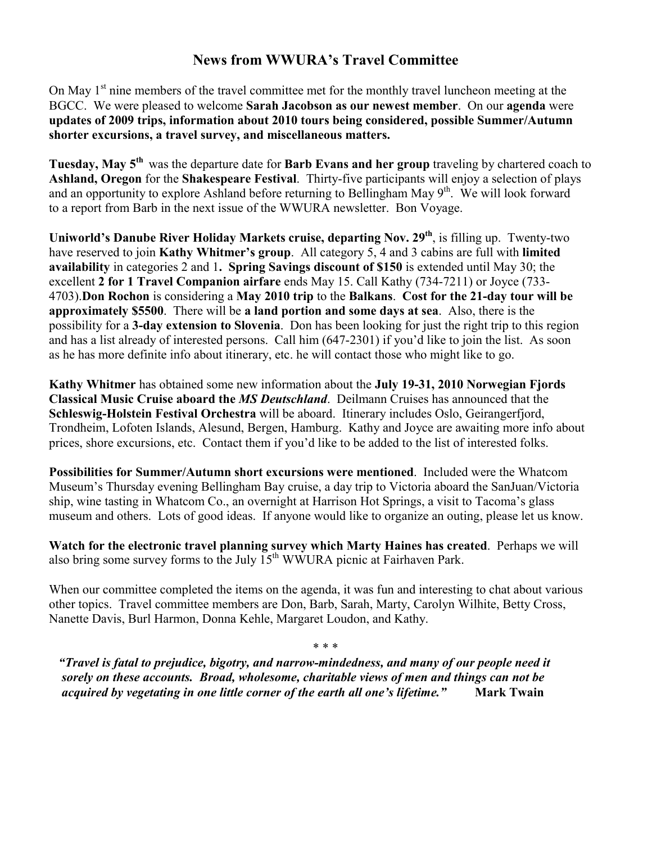### **News from WWURA's Travel Committee**

On May  $1<sup>st</sup>$  nine members of the travel committee met for the monthly travel luncheon meeting at the BGCC. We were pleased to welcome **Sarah Jacobson as our newest member**. On our **agenda** were **updates of 2009 trips, information about 2010 tours being considered, possible Summer/Autumn shorter excursions, a travel survey, and miscellaneous matters.** 

**Tuesday, May 5th** was the departure date for **Barb Evans and her group** traveling by chartered coach to **Ashland, Oregon** for the **Shakespeare Festival**. Thirty-five participants will enjoy a selection of plays and an opportunity to explore Ashland before returning to Bellingham May 9<sup>th</sup>. We will look forward to a report from Barb in the next issue of the WWURA newsletter. Bon Voyage.

**Uniworld's Danube River Holiday Markets cruise, departing Nov. 29th**, is filling up. Twenty-two have reserved to join **Kathy Whitmer's group**. All category 5, 4 and 3 cabins are full with **limited availability** in categories 2 and 1**. Spring Savings discount of \$150** is extended until May 30; the excellent **2 for 1 Travel Companion airfare** ends May 15. Call Kathy (734-7211) or Joyce (733- 4703).**Don Rochon** is considering a **May 2010 trip** to the **Balkans**. **Cost for the 21-day tour will be approximately \$5500**. There will be **a land portion and some days at sea**. Also, there is the possibility for a **3-day extension to Slovenia**. Don has been looking for just the right trip to this region and has a list already of interested persons. Call him (647-2301) if you'd like to join the list. As soon as he has more definite info about itinerary, etc. he will contact those who might like to go.

**Kathy Whitmer** has obtained some new information about the **July 19-31, 2010 Norwegian Fjords Classical Music Cruise aboard the** *MS Deutschland*. Deilmann Cruises has announced that the **Schleswig-Holstein Festival Orchestra** will be aboard. Itinerary includes Oslo, Geirangerfjord, Trondheim, Lofoten Islands, Alesund, Bergen, Hamburg. Kathy and Joyce are awaiting more info about prices, shore excursions, etc. Contact them if you'd like to be added to the list of interested folks.

**Possibilities for Summer/Autumn short excursions were mentioned**. Included were the Whatcom Museum's Thursday evening Bellingham Bay cruise, a day trip to Victoria aboard the SanJuan/Victoria ship, wine tasting in Whatcom Co., an overnight at Harrison Hot Springs, a visit to Tacoma's glass museum and others. Lots of good ideas. If anyone would like to organize an outing, please let us know.

**Watch for the electronic travel planning survey which Marty Haines has created**. Perhaps we will also bring some survey forms to the July  $15<sup>th</sup>$  WWURA picnic at Fairhaven Park.

When our committee completed the items on the agenda, it was fun and interesting to chat about various other topics. Travel committee members are Don, Barb, Sarah, Marty, Carolyn Wilhite, Betty Cross, Nanette Davis, Burl Harmon, Donna Kehle, Margaret Loudon, and Kathy.

\* \* \*

 *"Travel is fatal to prejudice, bigotry, and narrow-mindedness, and many of our people need it sorely on these accounts. Broad, wholesome, charitable views of men and things can not be acquired by vegetating in one little corner of the earth all one's lifetime."* **Mark Twain**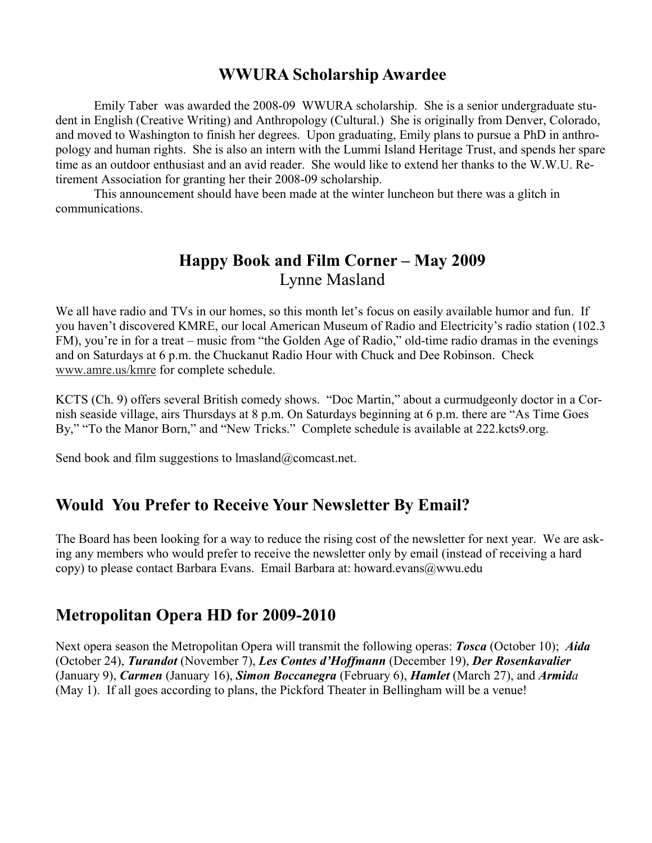## **WWURA Scholarship Awardee**

 Emily Taber was awarded the 2008-09 WWURA scholarship. She is a senior undergraduate student in English (Creative Writing) and Anthropology (Cultural.) She is originally from Denver, Colorado, and moved to Washington to finish her degrees. Upon graduating, Emily plans to pursue a PhD in anthropology and human rights. She is also an intern with the Lummi Island Heritage Trust, and spends her spare time as an outdoor enthusiast and an avid reader. She would like to extend her thanks to the W.W.U. Retirement Association for granting her their 2008-09 scholarship.

 This announcement should have been made at the winter luncheon but there was a glitch in communications.

# **Happy Book and Film Corner – May 2009**  Lynne Masland

We all have radio and TVs in our homes, so this month let's focus on easily available humor and fun. If you haven't discovered KMRE, our local American Museum of Radio and Electricity's radio station (102.3 FM), you're in for a treat – music from "the Golden Age of Radio," old-time radio dramas in the evenings and on Saturdays at 6 p.m. the Chuckanut Radio Hour with Chuck and Dee Robinson. Check www.amre.us/kmre for complete schedule.

KCTS (Ch. 9) offers several British comedy shows. "Doc Martin," about a curmudgeonly doctor in a Cornish seaside village, airs Thursdays at 8 p.m. On Saturdays beginning at 6 p.m. there are "As Time Goes By," "To the Manor Born," and "New Tricks." Complete schedule is available at 222.kcts9.org.

Send book and film suggestions to lmasland@comcast.net.

# **Would You Prefer to Receive Your Newsletter By Email?**

The Board has been looking for a way to reduce the rising cost of the newsletter for next year. We are asking any members who would prefer to receive the newsletter only by email (instead of receiving a hard copy) to please contact Barbara Evans. Email Barbara at: howard.evans@wwu.edu

### **Metropolitan Opera HD for 2009-2010**

Next opera season the Metropolitan Opera will transmit the following operas: *Tosca* (October 10); *Aida* (October 24), *Turandot* (November 7), *Les Contes d'Hoffmann* (December 19), *Der Rosenkavalier* (January 9), *Carmen* (January 16), *Simon Boccanegra* (February 6), *Hamlet* (March 27), and *Armida* (May 1). If all goes according to plans, the Pickford Theater in Bellingham will be a venue!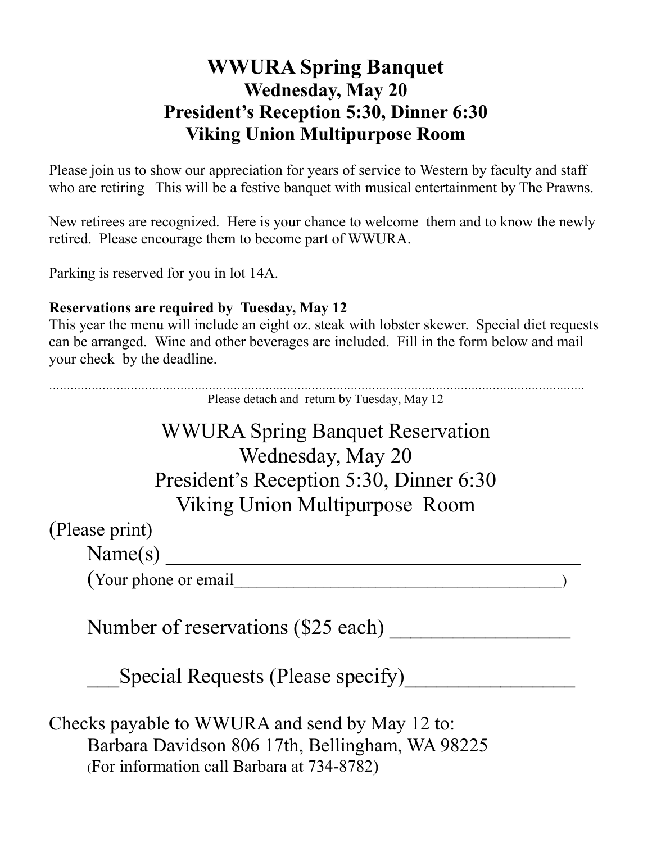# **WWURA Spring Banquet Wednesday, May 20 President's Reception 5:30, Dinner 6:30 Viking Union Multipurpose Room**

Please join us to show our appreciation for years of service to Western by faculty and staff who are retiring This will be a festive banquet with musical entertainment by The Prawns.

New retirees are recognized. Here is your chance to welcome them and to know the newly retired. Please encourage them to become part of WWURA.

Parking is reserved for you in lot 14A.

## **Reservations are required by Tuesday, May 12**

This year the menu will include an eight oz. steak with lobster skewer. Special diet requests can be arranged. Wine and other beverages are included. Fill in the form below and mail your check by the deadline.

……………………………………………………………………………………………………………………………………. Please detach and return by Tuesday, May 12 WWURA Spring Banquet Reservation

> Wednesday, May 20 President's Reception 5:30, Dinner 6:30 Viking Union Multipurpose Room

(Please print)

 $Name(s)$ 

(Your phone or email

Number of reservations (\$25 each) \_\_\_\_\_\_\_\_\_\_\_\_\_\_\_\_\_

Special Requests (Please specify)

Checks payable to WWURA and send by May 12 to: Barbara Davidson 806 17th, Bellingham, WA 98225 (For information call Barbara at 734-8782)